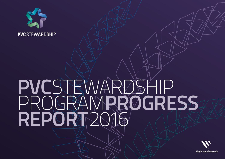

# **PVC**STEWARDSHIP GRAMPROGRESS **REPORT**2016

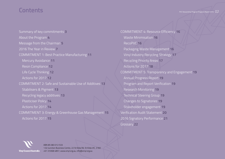# **Contents** PVC Stewardship Program Progress Report 2016

[Summary of key commitments](#page-2-0) **3** [About the Program](#page-3-0) **4** [Message from the Chairman](#page-4-0) **5** [2016 The Year in Review](#page-6-0) **7** [COMMITMENT 1: Best Practice Manufacturing](#page-10-0) **11** Mercury Avoidance **11** Resin Compliance **12** [Life Cycle Thinking](#page-11-0) **12** Actions for 2017 **12** [COMMITMENT 2: Safe and Sustainable Use of Additives](#page-12-0) **13** Stabilisers & Pigment **13** Recycling legacy additives **13** [Plasticiser Policy](#page-13-0) **14** Actions for 2017 **14** [COMMITMENT 3: Energy & Greenhouse Gas Management](#page-14-0) **15** Actions for 2017 **15**

[COMMITMENT 4: Resource Efficiency](#page-15-0) **16** Waste Minimisation **16** RecoPVC **16** Packaging Waste Management **16** [Vinyl Industry Recycling Strategy](#page-16-0) **17** Recycling Priority Areas **17** [Actions for 2017](#page-17-0) **18** [COMMITMENT 5: Transparency and Engagement](#page-18-0) **19** Annual Progress Report **19** Program and Report Verification **19** Research Monitoring **19** Technical Steering Group **19** Changes to Signatories **19** Stakeholder engagement **19** [Verification Audit Statement](#page-19-0) **20** [2016 Signatory Performance](#page-20-0) **21** [Glossary](#page-21-0) **22**



ABN 85 083 012 533 1.02 Junction Business Centre, 22 St Kilda Rd, St Kilda VIC, 3182 +61 3 9368 4857, www.vinyl.org.au, info@vinyl.org.au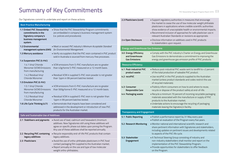# <span id="page-2-0"></span>**Summary of Key Commitments**

Our Signatories commit to undertake and report on these actions:

| <b>Best Practice Manufacturing</b>                                                                       |                                                                                                                                                                                                                                              |
|----------------------------------------------------------------------------------------------------------|----------------------------------------------------------------------------------------------------------------------------------------------------------------------------------------------------------------------------------------------|
| 1.1 Embed PVC Stewardship<br>commitments in the<br>Signatory company's<br>business management<br>system. | • Show that the PVC Stewardship Program commitments<br>are embedded in company's business management system<br>(i.e. policies and procedures).                                                                                               |
| 1.2 Environmental<br>management systems (EMS)                                                            | - Meet or exceed PVC industry's Minimum Acceptable Standard<br>for Environmental Management.                                                                                                                                                 |
| 1.3 Mercury avoidance                                                                                    | . Verify via suppliers that the PVC resin contained in PVC product<br>sold in Australia is sourced from mercury-free processes.                                                                                                              |
| 1.4 Suspension PVC (S-PVC)                                                                               |                                                                                                                                                                                                                                              |
| 1.4.1 Vinyl Chloride<br>Monomer (VCM) Emissions<br>from manufacturing                                    | . VCM emissions from S-PVC manufacture are no greater<br>than 43g/tonne S-PVC measured on a 12 month basis.                                                                                                                                  |
| 1.4.2 Residual Vinyl<br>Chloride Monomer                                                                 | · Residual VCM in supplied S-PVC resin powder is not greater<br>than 1ppm in 99 percent batches tested.                                                                                                                                      |
| 1.5 Emulsion PVC (E-PVC)                                                                                 |                                                                                                                                                                                                                                              |
| 1.5.1 Vinyl Chloride<br>Monomer (VCM) Emissions<br>from manufacturing                                    | . VCM emissions from E-PVC manufacture are no greater<br>than 500g/tonne E-PVC measured on a 12 month basis.                                                                                                                                 |
| 1.5.2 Residual Vinyl<br>Chloride Monomer                                                                 | . Residual VCM in supplied E-PVC resin is not greater than<br>1ppm in 99 percent batches tested.                                                                                                                                             |
| 1.6 Life Cycle Thinking (LCT)                                                                            | . Demonstrate that impacts have been considered and<br>addressed in the development or introduction of new PVC<br>products for the Australian market.                                                                                        |
| Safe and Sustainable Use of Additives                                                                    |                                                                                                                                                                                                                                              |
| 2.1 Stabilisers and pigments                                                                             | . Avoid use of lead, cadmium and hexavalent chromium<br>additives. New Signatories still using these additives will<br>agree on specific phase out dates upon joining the Program.<br>Any use of these additives shall be reported annually. |
| 2.2 Recycling PVC containing<br>legacy additives                                                         | - Recycle responsibly end-of-life PVC products that contain<br>legacy additives.                                                                                                                                                             |
| 2.3 Plasticisers                                                                                         | . Avoid the use of ortho-phthalate plasticisers in PVC food<br>contact packaging film supplied to the Australian market;<br>. Report annually on the use and type of low molecular<br>weight ortho-phthalates;                               |

| 2.3 Plasticisers (cont)                                         | · Support regulatory authorities in measures that encourage<br>the market to cease the use of low molecular weight phthalate<br>plasticisers in applications where credible scientific authorities<br>show evidence of unacceptable health or environmental impacts;<br>. Recommend inclusion of approaches for safe plasticiser use in<br>relevant Australian Standards or revisions as appropriate. |
|-----------------------------------------------------------------|-------------------------------------------------------------------------------------------------------------------------------------------------------------------------------------------------------------------------------------------------------------------------------------------------------------------------------------------------------------------------------------------------------|
| 2.4 Open Disclosure                                             | · Disclose information on additives used in PVC products<br>to stakeholders upon request.                                                                                                                                                                                                                                                                                                             |
| <b>Energy and Greenhouse Gas Emissions</b>                      |                                                                                                                                                                                                                                                                                                                                                                                                       |
| 3.0 Energy Efficiency<br>and Greenhouse<br><b>Gas Emissions</b> | . Comply with the PVC industry's Charter on Energy and Greenhouse<br>Gas Emissions to demonstrate a commitment to improving the<br>energy and greenhouse gas emission profile of PVC products.                                                                                                                                                                                                        |
| <b>Resource Efficiency</b>                                      |                                                                                                                                                                                                                                                                                                                                                                                                       |
| 4.1 Post-industrial PVC<br>product waste                        | . Reduce post-industrial PVC waste sent to landfill to <2 percent<br>of the total production of saleable PVC product.                                                                                                                                                                                                                                                                                 |
| 4.2 recoPVC                                                     | · Use recoPVC in the PVC products supplied to the Australian<br>market (unless product standards and codes restrict the use<br>of recycled materials).                                                                                                                                                                                                                                                |
| 4.3 Consumer<br><b>Responsible Care</b>                         | . Publicly inform consumers on how to and where to reuse,<br>recycle or dispose of the product safely at end-of-life.                                                                                                                                                                                                                                                                                 |
| 4.4 Packaging waste                                             | . Recycle a minimum 70 percent of incoming recyclable packaging<br>materials associated with the manufacture or supply of PVC<br>products to the Australian market;<br>· Undertake actions to encourage the recycling of packaging<br>materials leaving the Signatory's facility.                                                                                                                     |
| <b>Transparency and Engagement</b>                              |                                                                                                                                                                                                                                                                                                                                                                                                       |
| 5.1 Public Reporting                                            | . Publish a performance report by 31 May every year.<br>. Publish an evaluation of the Program every five years.                                                                                                                                                                                                                                                                                      |
| 5.2 Research Monitoring                                         | • Monitor national and international scientific research and<br>share pertinent information with Signatories and stakeholders,<br>including updates on pertinent issues and developments related<br>to aspects of the PVC life cycle.                                                                                                                                                                 |
| 5.3 Stakeholder<br>Engagement                                   | • A Technical Steering Group consisting of industry and<br>non-industry stakeholders shall monitor and report on the<br>implementation of the PVC Stewardship Program;<br>· Provide opportunities for stakeholders to offer feedback<br>on the Program.                                                                                                                                               |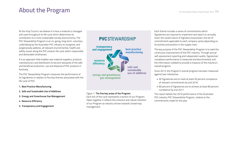# <span id="page-3-0"></span>**About the Program PUCCOM**

At the Vinyl Council, we believe it is how a material is managed and used throughout its life cycle which determines its contribution to a more sustainable society and economy. The PVC Stewardship Program is an on-going, long-term, voluntary undertaking by the Australian PVC industry to recognise, and progressively address, all relevant environmental, health and safety issues along the PVC product life cycle within responsible and deliverable timeframes.

It is an approach that enables raw material suppliers, products manufacturers and distributors to be joint stewards of the safe and beneficial production, use and disposal of PVC products in Australia.

The PVC Stewardship Program measures the performance of its Signatories in relation to five key themes associated with the life cycle of PVC:

#### **[1. Best Practice Manufacturing](#page-10-0)**

- **[2. Safe and Sustainable Use of Additives](#page-12-0)**
- **[3. Energy and Greenhouse Gas Management](#page-14-0)**
- **[4. Resource Efficiency](#page-15-0)**
- **[5. Transparency and Engagement](#page-18-0)**

### **PVC STEWARDSHIP**



#### *Figure 1:* **The five key areas of the Program**

Each tick of the cycle represents a section of our Program. Taken together it reflects the coherent and robust intention of our Program as industry strives towards closed loop **transparency** management.

Each theme includes a series of commitments which Signatories are required to implement and report on annually. Given the varied nature of Signatory businesses, the list of commitments applicable to each company varies depending on its activity and position in the supply chain.

The key purpose of the PVC Stewardship Program is to seek the continuous improvement of the PVC industry. Through annual self-assessment reporting and independent audits, Signatories' compliance performance is measured and benchmarked, and the information collated to provide a measure of the industry's overall progress.

Since 2013, the Program's overall progress has been measured against two milestones:

- All Signatories are to meet at least 50 percent compliance of relevant commitments by end 2016.
- 80 percent of Signatories are to achieve at least 80 percent compliance by end 2017.

This report details the 2016 performance of the Australian PVC industry PVC Stewardship Program, relative to the commitments made for the year.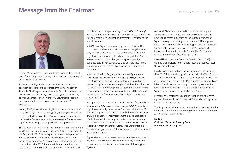# <span id="page-4-0"></span>**Message from the Chairman**



As the PVC Stewardship Program heads towards its fifteenth year of reporting, one of the key outcomes from the journey has been collaborative learning.

Each year, our Signatories come together in a voluntary approach to report on the progress of the vinyl industry in Australia. The Program allows the Vinyl Council to present the evidence of the traceability of PVC throughout the life cycle, as well as demonstrate how the PVC Stewardship Program has contributed to the outcomes and impacts of PVC in Australia.

In early 2016, the Australian vinyl industry saw the closure of Australian Vinyls' manufacturing plant, marking the end of PVC resin manufacture in Australia. Signatories purchasing locally made resins from AV have had to source resins from overseas suppliers, increasing the complexity of the supply chains.

This structural change has led to a growth in membership of the Vinyl Council of Australia and introduced 13 new Signatories to the Program in 2016, including four overseas resin producers. Hence, by the end of the 2016 calendar year, the Program had a record number of 44 Signatories. Two Signatories failed to submit data for 2016, therefore this report outlines the results of data submitted by 42 Signatories. An audit process

completed by an independent organisation (Ernst & Young) verified a sample of nine Signatory submissions, together with this final report. EY's verification statement is included at the end of the report.

In 2016, nine Signatories were fully compliant with all the commitments relevant to their business, earning them the Vinyl Council's Excellence in PVC Stewardship Award. Four Signatories were awarded the Silver Commendation Award, a new award introduced this year to Signatories who demonstrated 'Silver' compliance' and 'best practice' in one or more commitment areas, by going beyond compliance requirements.

In terms of the first Program milestone: *all Signatories to have at least 50 percent compliance by end 2016,* 40 out of 44 Signatories achieved this. One Signatory with less than 50 percent compliance was reporting for first time; the other was unable to finalise reporting on relevant commitments in time. Two companies failed to submit any data for 2016, one was reporting for the first time, the other had submitted a data survey in 2015.

In respect of the second milestone: *80 percent of Signatories to be at or above 80 percent compliance by end 2017,* thirty-two Signatories (seventy three percent) achieved at or above 80 percent compliance in 2016, compared with 65 percent (n:21) of 2015 Signatories. This improvement may be a reflection of additional verification requirements requested for some commitments and the increase in the number of Signatories reporting. Almost one third of Signatories were first time reporters this year, seven of them achieved compliance rates of 80 percent or more.

Signatories reported improvements in compliance for three key areas of the Program: Mercury Avoidance, Energy and Greenhouse Gas Emissions and Environmental Management Systems.

Almost all Signatories reported that they or their supplier adhered to the PVC Industry Energy and Greenhouse Gas Emissions Charter. In addition to this, a record number of Signatories reported having an Environmental Management System for their operation or sourcing products from facilities with an EMS that meets or exceeds the Australian PVC industry's Minimum Acceptable Standard for Environmental Management of Manufacturing Operations.

I would like to thank the Technical Steering Group (TSG) and external stakeholders for the effort, input and feedback over the course of the year.

Finally, I would like to thank the 42 Signatories for providing their 2016 data and sharing information with the Vinyl Council. The PVC Stewardship Program has been active since 2002 and is well recognised amongst the PVC supply chain nationally and internationally, as well as amongst relevant government and key stakeholders in our market. It is a major undertaking for Signatory companies, many of whom are SMEs.

I encourage Signatories to continue to report their progress against the commitments of the PVC Stewardship Program in its 15th year and beyond.

The Program remains an important vehicle to demonstrate the industry's commitment to reducing the environmental footprint of PVC products in Australia.

#### **Ian Lilja Chairman, Technical Steering Group PVC Stewardship Program**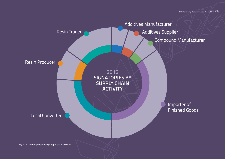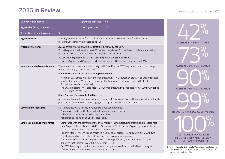# <span id="page-6-0"></span>**2016 in Review**

| <b>Number of Signatories</b>         | Signatories assessed<br>44<br>42                                                                                                                                                                                                                                                                                                                                                                                                                                                                                                                                                                                                                                                                                                                  |                                                                                                                                                                                                                                                                                      |
|--------------------------------------|---------------------------------------------------------------------------------------------------------------------------------------------------------------------------------------------------------------------------------------------------------------------------------------------------------------------------------------------------------------------------------------------------------------------------------------------------------------------------------------------------------------------------------------------------------------------------------------------------------------------------------------------------------------------------------------------------------------------------------------------------|--------------------------------------------------------------------------------------------------------------------------------------------------------------------------------------------------------------------------------------------------------------------------------------|
| <b>Signatories failing to report</b> | 2 <sup>1</sup><br><b>New Signatories</b><br>13                                                                                                                                                                                                                                                                                                                                                                                                                                                                                                                                                                                                                                                                                                    |                                                                                                                                                                                                                                                                                      |
| Verification site audits conducted   | 9                                                                                                                                                                                                                                                                                                                                                                                                                                                                                                                                                                                                                                                                                                                                                 |                                                                                                                                                                                                                                                                                      |
| <b>Signatory Status</b>              | Nine Signatories achieved full compliance with all relevant commitments for their business,<br>receiving Excellence Awards (see page 19).                                                                                                                                                                                                                                                                                                                                                                                                                                                                                                                                                                                                         | <b>INCREASE IN SIGNATORIES</b>                                                                                                                                                                                                                                                       |
| <b>Program Milestones</b>            | All Signatories to be at or above 50 percent compliance by end 2016.<br>Forty (90 percent) achieved at least 50 percent compliance. Those whose compliance is less than<br>50 percent will be requested to develop improvement plans in 2017.<br>80 percent of Signatories to be at or above 80 percent compliance by end 2017.<br>Thirty two Signatories (73 percent) achieved at or above 80 percent compliance in 2016.                                                                                                                                                                                                                                                                                                                        |                                                                                                                                                                                                                                                                                      |
| New and updated commitments          | Two commitments were modified to align with Best Practice PVC <sup>1</sup> requirements and the changes<br>to the resin supply chain in Australia.                                                                                                                                                                                                                                                                                                                                                                                                                                                                                                                                                                                                | <b>ACHIEVED 80% COMPLIANCE</b>                                                                                                                                                                                                                                                       |
|                                      | Under the Best Practice Manufacturing commitment:                                                                                                                                                                                                                                                                                                                                                                                                                                                                                                                                                                                                                                                                                                 |                                                                                                                                                                                                                                                                                      |
|                                      | - A limit on VCM emissions related to manufacturing S-PVC sourced by Signatories was introduced<br>at 43g VCM/tonne PVC produced replacing the limit which had applied only to the local<br>Australian-manufacturer of resin.<br>• The VCM emissions limit in respect of E-PVC manufacturing was reduced from 1000g VCM/tonne<br>E-PVC to 500g VCM/tonne.                                                                                                                                                                                                                                                                                                                                                                                         | <b>ACHIEVED 50% COMPLIANCE</b>                                                                                                                                                                                                                                                       |
|                                      | Under Safe and Sustainable Additives Use:                                                                                                                                                                                                                                                                                                                                                                                                                                                                                                                                                                                                                                                                                                         |                                                                                                                                                                                                                                                                                      |
|                                      | An additional commitment was included in respect of Plasticisers to avoid the use of ortho-phthalate<br>plasticiers in PVC food contact packaging film supplied to the Australian market.                                                                                                                                                                                                                                                                                                                                                                                                                                                                                                                                                         |                                                                                                                                                                                                                                                                                      |
| <b>Commitment Highlights</b>         | Full compliance was achieved in relation to three commitments:<br>- Adoption of Life Cycle Thinking in development of new products.<br>Adherence to the policy on use of Legacy Additives.<br>Adherence to the policy on use of Plasticisers.                                                                                                                                                                                                                                                                                                                                                                                                                                                                                                     | <b>REDUCTION IN LEAD ADDITIVE USE</b>                                                                                                                                                                                                                                                |
| Notable compliance improvement       | • Compliance with the commitment to avoid mercury in manufacturing production processes rose<br>from 64 percent compliance in 2015 to 82 percent in 2016. Only one Signatory was unable to<br>provide confirmation of avoidance from their suppliers.<br>- Reporting for E-PVC Emissions improved in 2016 to 85 percent (83 percent in 2015) with two<br>Signatories unable to provide confirmation of emissions from suppliers.<br>• The number of Signatories complying with the Energy Efficiency and Greenhouse Gas Charter<br>improved to 90 percent in 2016 (69 percent in 2015).<br>. Our PVC Recycling in Hospitals program was recognised as a Finalist in the Health category<br>of the Victorian Premier's Sustainability Awards 2016. | <b>COMPLIANCE ACHIEVED IN</b><br>LIFE CYCLE THINKING, LEGACY<br><b>ADDITIVES AND PLASTICISERS</b><br>1 - In 2010, Green Building Council of Australia developed guidelines<br>for Best Practice manufacturing of PVC products, recognised in its<br>building rating tool. Green Star |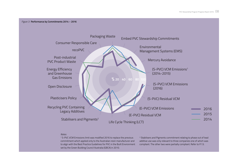

#### *Notes:*

1 S-PVC VCM Emissions limit was modified 2016 to replace the previous commitment which applied only to the Australian resin manufacturer and to align with the Best Practice Guidelines for PVC in the Built Environment set by the Green Building Council Australia (GBCA) in 2010.

2 Stabilisers and Pigments commitment relating to phase out of lead additive use was only relevant to three companies one of which was compliant. The other two were partially compliant. Refer to P.13.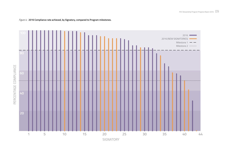

### *Figure 4:* **2016 Compliance rate achieved, by Signatory, compared to Program milestones.**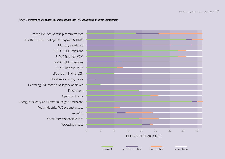#### *Figure 5:* **Percentage of Signatories compliant with each PVC Stewardship Program Commitment**

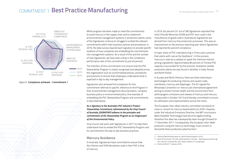## <span id="page-10-0"></span>COMMITMENT 1 **Best Practice Manufacturing**



 $\overline{\phantom{a}}$ 

2014 2015 **2016** 

*Figure 6:* **Compliance achieved – Commitment 1** 

**20 %**

While progress has been made to meet the commitments to avoid mercury in the supply chain and to implement environmental management systems in production plants, some of the Signatories continue to struggle to embed the relevant commitments within their business policies and procedures. In 2016, the data survey required each signatory to provide specific evidence of how companies are embedding the commitments **10**  $\begin{bmatrix} \cdot & \cdot & \cdot & \cdot \\ \cdot & \cdot & \cdot & \cdot \\ \cdot & \cdot & \cdot & \cdot \end{bmatrix}$  into management systems. As a result of this and the number of new Signatories, we have seen a drop in the compliance performance rate of this commitment to just 40 percent. **60 80** eer nie comming

> The intention of this commitment is to ensure that the PVC Stewardship Program is clearly recognised and adopted across the organisation such as via formalised policies, procedures and practices to ensure that employees understand what is expected in day to day management.

Signatories who achieved full compliance for this commitment referred to specific reference to the Program in their environmental management documentation, company business policy or environmental policy. One example of embedding the PVC Stewardship Program and commitments, is described below:

#### *As a Signatory to the Australian PVC Industry's Product Stewardship Commitment, administered by the Vinyl Council of Australia, (SIGNATORY) adheres to the principles and commitments of the Stewardship Program as an integral part*  of this Environmental Policy.

Vinyl Council will work with Signatories in 2017 to help them **40 60** understand how to embed the PVC Stewardship Program and **80 100** its commitments into day to day business practices.

#### **Mercury Avoidance**

In Australia, Signatories have committed to ensure that the chlorine and VCM derivatives used in their PVC is free of mercury.

In 2016, 82 percent (31 out of 38) Signatories reported that Vinyl Chloride Monomer (VCM) and PVC resin used in the manufacture of goods sold in Australia by Signatories are derived from mercury free production processes. This was an improvement on the previous reporting year where Signatories had reported 64 percent compliance. RECYCLING PVC

A major share of PVC manufacturing in China uses a process that starts with coal as the feedstock<sup>2</sup>. In this process, mercury is used as a catalyst to spark the chemical reaction among ingredients. Approximately 80 percent of Chinese PVC capacity is accounted for by this process. Acetylene carbide production plants are also found in facilities in India, Russia and North Korea<sup>3</sup>.

In Europe and North America, there are three electrolysis technologies for producing chlorine and caustic soda: membrane, mercury and diaphragm. The EU signed the Minamata Convention on mercury (an international agreement aiming to protect human health and the environment from anthropogenic emissions and release of mercury and mercury compounds) in October 2013 and thereby committed to ensure its ratification and implementation across the Union.

The European chlor-alkali industry committed voluntarily to close or convert its mercury based plants by 2020. However, under the Industrial Emissions Directive, the BAT conclusions (Best Available Technology) have become legally binding, therefore this date has subsequently been brought forward to 11 December 2017. Consequently, the European chlor-alkali producers using the mercury technology must convert or dismantle these production plant by then<sup>4</sup>.

<sup>2 –</sup> Chemical Market Associates Inc, World Vinyls Analysis's 2010.

<sup>3 –</sup> Word of Chemicals: The chlor-alkali Industry in Europe - http://www.eurochlor.org/ the-chlorine-universe/the-chlor-alkali-industry-in-europe.aspx

<sup>4 –</sup> Chemical World 11 January 2016 2015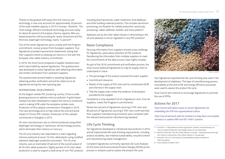<span id="page-11-0"></span>Thanks to the gradual shift away from the mercury cell technology, it now only accounts for approximately 20 percent of the total installed capacity in 2015 in Europe, 18 plants<sup>5</sup>. The more energy-efficient membrane technology accounts today for about 64 percent of European chlorine capacity. Mercurybased production still accounting for nearly 20 percent and the third one, diaphragm technology, nearly 14 percent<sup>6</sup>.

Five of the seven Signatories yet to comply with the Program commitment, receive product from European suppliers. Four Signatories provided improvement statements noting that their suppliers intend on phasing out mercury in line with the European chlor-alkali industry commitment.

In 2016, the Vinyl Council prepared a Supplier Questionnaire which was trialled by several Signatories. The questionnaire was developed to assist Signatories with obtaining information and written verification from upstream suppliers.

The questionnaire proved helpful in assisting Signatories obtaining written verification and will be rolled out to all Signatories during the next reporting year.

#### INTERNATIONAL DEVELOPMENTS

As the largest carbide PVC producing country, China is under growing pressure to address mercury pollution. A gold-based catalyst has been developed to replace the mercury compound used in making VCM under the acetylene carbide route. Production of this catalyst commenced in Shanghai in 2015. This new technology aims to help reduce the environmental impact of China's PVC industry. Production of this catalyst commenced in Shanghai in 2015.

US resin manufacturers rely on chlorine produced using either diaphragm technology or membrane-cell technology process, which eliminates their reliance on mercury<sup>7</sup>.

The US vinyl industry has responded to a claim regarding chlorine produced at some 15 chlor-alkali plants using modified asbestos diaphragm production processes . The US vinyl industry uses an estimated 20 percent of the overall output of all US chlor-alkali production. Eighty percent of US chlor-alkali production is used to support a wide array of non-PVC products

including pharmaceuticals, water treatment, food additives and other building material products. This includes aluminium processing, ore flotation for metals production, wood pulp processing, rubber additives, textiles, and many plastics $^{\mathrm{8}}$ .

Asbestos use by the chlor-alkali industry is diminishing in the US and asbestos is not an ingredient in any PVC products<sup>5</sup>.

### **Resin Compliance**

Securing information from suppliers remains a key challenge for Signatories, particularly importers of PVC products. Deciphering the information from multiple suppliers to meet the commitments of the data survey is also highly complex.

As part of the 2016 commitment and verification process, the Vinyl Council asked all Signatories to map its supply chain to understand or check:

- The percentage of the product received from each supplier;
- Commitment relevance;
- Details of the supply of PVC resin and its constituents (VCM and chlorine) in the supply chain;
- That the supply chain meets the evidence of declaration provided by the supplier.

Compliance is only awarded if all of a Signatory's resin, from all suppliers, meets the Program's commitments.

Ninety two percent of Signatories sourcing S-PVC resin and 85 percent of Signatories sourcing E-PVC resin confirmed that their suppliers manufacturing emissions were compliant with the relevant best practice manufacturing standard.

### **Life Cycle Thinking**

Ten Signatories developed or introduced new products in 2016, and all implemented life cycle thinking requirements, including product durability, raw material sustainability, recycled content and manufacturing waste management.

Compliant Signatories commonly reported Life Cycle Analysis (LCA's) tools and Environmental Product Designs (EPDs) as the process or analysis used to assess the product life cycle.



Photo: Polyflor

Two Signatories reported that life cycle thinking was used in the development of stabilisers. The type of manufacturing process, recyclability at the end of life and energy efficiency processes were used to assess the product life cycle.

Vinyl Council will continue to encourage Signatories to promote the use of EPDs.

### **Actions for 2017**

*Vinyl Council will explore ways to ensure Signatories are embedding the PSP into organisational culture.*

*Vinyl Council will work with its members to help them successfully introduce or update EMS and ISO 14001 systems.*

- 7 Vinyl Info: The U.S. Vinyl Industry's Sustainability Initiative Is Rooted in Past Innovations
- 8 Vinyl Institute 24 March 2017

<sup>5 –</sup> EuroChlor 17 http://www.eurochlor.org/chlorine-industry-issues/phasing-outmercury-based-production-technology-where-do-we-stand.aspx

<sup>6 –</sup> Word of Chemicals: The chlor-alkali Industry in Europe – http://www.eurochlor.org/ the-chlorine-universe/the-chlor-alkali-industry-in-europe.aspx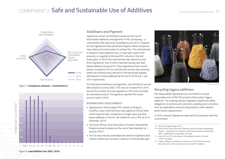# <span id="page-12-0"></span>COMMITMENT 2 **Safe and Sustainable Use of Additives**



#### *Figure 7:* **Compliance achieved – Commitment 2**



#### **Stabilisers and Pigment**

Signatories remain committed to phase out the use of lead-based stabilisers and pigments in PVC processing – a commitment that was to be completed by end 2012. However, as new Signatories have joined the Program, these companies have had to commence plans to achieve this. This commitment is relevant if lead stabilisers are, or have been used in PVC products, or supplied to the local PVC industry in the last three years. In 2016, this commitment was relevant to just three Signatories, two of which reported having used leadbased additives during 2016. These Signatories both receive partial-compliance for this commitment as they were working within the timelines they had set to find technically feasible alternatives to these additives by the end of 2016 and 1 July 2017 respectively.

For lead based stabilisers and pigments, over 99.45% of use has been phased out since 2002. This was an increase from 2015 due to the inclusion of a new signatory in 2015 who provided an estimated amount. The signatory reported the actual amount used in 2016.

#### INTERNATIONAL DEVELOPMENTS

- Signatories to the European PVC industry's Program, VinylPlus, have confirmed they have signed an official letter confirming that their companies no longer place any leadbased stabiliser on the EU-28 market for use in PVC as of 31 December 2015<sup>9</sup>.
- The South African Vinyl Association's Product Stewardship Program aimed to phase out the use of lead stabiliser by 1 January 201610.
- The US vinyl industry eliminated the need for stabilizers that contain metals such as lead or cadmium, three decades ago<sup>11</sup>.



Photo: Chemson

### **Recycling legacy additives**

PVC Stewardship Signatories are committed to recycle responsibly end-of-life PVC products that contain 'legacy additives'12 by meeting relevant regulatory health and safety obligations to workers and customers, avoiding use in sensitive end-use applications and ensuring products meet relevant performance requirements.

In 2016, relevant Signatories reported full compliance with this commitment.

- 10 South African Vinyls Association, Members letter, Re: Product Stewardship Program - lead phase out compliance. http://www.savinyls.co.za/files/files/ SAVA\_ LeadPhaseOut-SunsetDate\_2015.pdf
- 11 Vinyl Info: The U.S. Vinyl Industry's Sustainability Initiative Is Rooted in Past Innovations
- 12 'Legacy additives' are substances whose use in PVC products has been discontinued but which may be found in recycled PVC materials

 <sup>9 –</sup> Vinyl Plus Progress Report 2017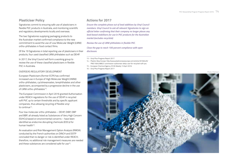### <span id="page-13-0"></span>**Plasticiser Policy**

Signatories commit to ensuring safe use of plasticisers in flexible PVC products in Australia, and monitoring scientific and regulatory developments locally and overseas.

The two Signatories supplying packaging products to the Australian market confirmed compliance to the new commitment to avoid the use of Low Molecular Weight (LMW) ortho-phthalates in food contact films.

Of the 19 Signatories in total reporting use of plasticisers in their products, four used classified LMW phthalates such as DEHP.

In 2017, the Vinyl Council will form a working group to review the use of these classified plasticisers in flexible PVC in Australia.

#### OVERSEAS REGULATORY DEVELOPMENT

European Plasticisers (former ECPI) has confirmed increased use in Europe of High Molecular Weight (HMW) ortho-phthalates, cyclohexanoates, terephthalates and other plasticisers, accompanied by a progressive decline in the use of LMW ortho-phthalates<sup>13</sup>.

The European Commission in April 2016 granted Authorisation under REACH regulations for the use of DEHP in recycled soft PVC up to certain thresholds and by specific applicant companies, thus allowing recycling of flexible vinyl to continue14.

Four low molecular ortho-phthalates – DEHP, DIBP, DBP and BBP, all already listed as Substances of Very High Concern (SVHCs) based on environmental concerns – have been identified as endocrine disrupting chemicals (EDCs) for human health15.

An evaluation and Risk Management Option Analysis (RMOA) conducted by the French authorities on DINCH and DOTP concluded that no danger or risk is identified under REACH; therefore, no additional risk management measures are needed and these substances are considered safe for use<sup>16</sup>.

#### **Actions for 2017**

*Ensure the complete phase out of lead additives by Vinyl Council members. Vinyl Council to ask all relevant Signatories to sign an official letter confirming that their company no longer places any lead-based stabilisers for use in PVC products for the Australian market (excludes recyclate).*

*Review the use of LMW phthalates in flexible PVC.*

*Close the gap to reach 100 percent compliance with open disclosure.*

13 – Vinyl Plus Progress Report 2017

- 14 Plastics New Europe: http://www.plasticsnewseurope.com/article/20160429/ PNE/160429802/ commission-authorises-dehp-use-for-recycled-soft-pvc.
- 15 European Chemical Agency: ECHA Weekly 13 April 2016
- 16 Vinyl Plus Progress Report 2017

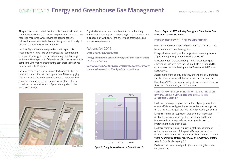# <span id="page-14-0"></span>COMMITMENT 3 **Energy and Greenhouse Gas Management** <sup>15</sup>

The purpose of this commitment is to demonstrate industry's commitment to energy efficiency and greenhouse gas emission reduction measures, while leaving the specific action to achieve these up to individual companies given the diversity of businesses reflected by the Signatories. response to the control of the control of the control of the control of the control of the control of the contr<br>Equation ( ) is a control of the control of the control of the control of the control of the control of the co

In 2016, Signatories were required to confirm particular measures were in place to demonstrate their commitment to improving energy efficiency and reducing greenhouse gas emissions. Ninety percent of the relevant Signatories were fully compliant, with many demonstrating best practice initiatives defined under the Program.

Signatories directly engaged in manufacturing activity were required to report for their own operations. Those supplying PVC products to the market were required to report on their supplier-manufacturers' energy management and efforts to reduce the carbon footprint of products supplied to the Australian market.



Signatories received non-compliance for not submitting  $\overline{\text{S}}$  information from suppliers, or reporting that the manufacturer  $\quad$   $\blacksquare$  $\frac{1}{2}$  did not comply with any of the energy and greenhouse gas emission requirements.  $S_{\text{S}}$ (E-PVC)

#### **Actions for 2017**

*Close the gap on full compliance.* 

*Identify and promote government Programs that support energy*  **60** *efficiency in industry.*   $L$ 

*Develop case-studies to educate Signatories on energy efficiency*  **opportunities based on other Signatories' experiences.**  $\sum_{i=1}^{n}$ :e-stuure<br>י portunnes buseu

| 100                           | 88%        |                     | 90%              |  |
|-------------------------------|------------|---------------------|------------------|--|
|                               |            |                     |                  |  |
| 80                            |            | 69%                 |                  |  |
|                               |            |                     |                  |  |
| 60                            |            |                     |                  |  |
| 40                            |            |                     |                  |  |
|                               |            |                     |                  |  |
| 20                            |            |                     |                  |  |
|                               |            |                     |                  |  |
| $\frac{9}{6}$                 |            |                     |                  |  |
|                               | 2014       | 2015                | 2016             |  |
| $\Gamma$ $\sim$ $\sim$ $\sim$ | - 15.<br>- | المستقبل والمعارضات | ٠.<br>$\epsilon$ |  |

### Photo: Plustech **Figure 9: Compliance achieved – Commitment 3**

#### *Table 1:* **Expected PVC Industry Energy and Greenhouse Gas Emissions Charter Measures**

#### **FOR SIGNATORIES WITH LOCAL MANUFACTURING**

A policy addressing energy and greenhouse gas management. **20**

Measurement of annual energy use. DISCLOSURE

Energy efficiency and greenhouse gas improvement plans and targets for improving and/or reviewing efficiency.

Measurement of the carbon footprint of / greenhouse gas emissions associated with the PVC products e.g. through life 2016  $\mathcal{C}$  cycle assessments or development of Environmental Product **Declarations**  $\overline{a}$ 

Assessment of the energy efficiency of key parts of Signatories PLASTICISERS supply chain e.g. transportation, raw materials manufacture.

Use of recoPVC in the manufacturing of new products to reduce the carbon footprint of your PVC products.

#### **FOR SIGNATORIES SUPPLYING IMPORTED PVC PRODUCTS, RAW MATERIALS AND/OR INTERMEDIATES TO THE AUSTRALIAN MARKET** POST-INDUSTRIAL PVC PRODUCT WAS

Evidence from major supplier(s) of a formal policy/procedure on energy efficiency and greenhouse gas emissions management for the manufacturing of the PVC-related products you source.

Evidence from major supplier(s) that annual energy usage related to the manufacturing of products supplied to you is measured and energy efficiency and greenhouse gas improvement plans are in place.<br>————————————————————

Evidence from your major supplier(s) of the measurement of the carbon footprint of the product(s) supplied, such as Environmental Product Declarations published in the past three years. *(EPD may be company specific, or an industry EPD that the manufacturer has been party to).* **%**

Evidence that the sourced product(s) contain recycled postconsumer PVC.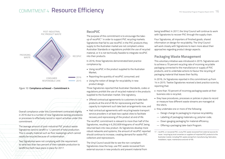#### <span id="page-15-0"></span>COMMITMENT 4 **Resource Efficiency** 2016 111



*Figure 10:* **Compliance achieved – Commitment 4**

Overall compliance under this Commitment contracted slightly in 2016 due to a number of new Signatories lacking procedures medicing the community of the processes to effectively record or report activities under this commitment. Embed PVC Stewardship Commitments  $\mathcal{A}$  / / / /  $\mathcal{A}$ 

The average amount of post-industrial PVC product waste Signatories/send to landfill is 1.2 percent of total/production. This is usually material such as floor sweepings which cannot **% 20 40 60 80 <sup>100</sup>**readily be recycled because of contamination.

Two Signatories were not complying with the requirement (2016) to send less than two percent of their saleable production to landfill but both have plans in place for 2017.

 $\begin{array}{c} \begin{array}{c} \text{array} \end{array} \end{array}$ 

 $\overline{\phantom{a}}$ 

Legacy Additives <sup>2016</sup>

 $\Box$ 

#### **RecoPVC**

The purpose of this commitment is to encourage the takeup of recoPVC<sup>17</sup> in order to support PVC recycling markets. Signatories that fail to use recoPVC in the PVC products they supply to the Australian market are not compliant unless Australian Standards or regulations prohibit the use of recycled material, or it is not technically feasible to integrate recoPVC into their products.

In 2016, three Signatories demonstrated best practice compliance by:

- Using recoPVC in the product supplied to the Australian Market;
- Reporting the quantity of recoPVC consumed; and
- Using the notion of design for recyclability in new product design.

Three Signatories reported that Australian Standards, codes or regulations prohibit the use of recycled material in the products supplied to the Australian market. One signatory,

- Offered contractual agreements to customers to take back products at the end of life for reprocessing and had the capacity to implement such take back arrangements now; and
- Had contractual agreements with recycling/waste transport service providers in at least two capital cities to facilitate recovery and reprocessing of the product at end of life.

The recoPVC commitment is relevant to more than half of the Signatories, resulting in 6,292,609 kilograms of recoPVC being returned back into new product. As Signatories develop more robust networks and systems, the amount of recoPVC reported should continue to increase, creating demand for waste PVC collectors and reprocessors.

The Vinyl Council would like to see the non-compliant Signatories close the loop, use PVC waste recovered from external sources in new products and prevent material from being landfilled. In 2017, the Vinyl Council will continue to work with Signatories to recover PVC through the supply chain.

Four Signatories, all importers of finished goods, shared information on design for recyclability. The Vinyl Council will work closely with Signatories to learn more about their approaches regarding product design aspects.

### **Packaging Waste Management**

This voluntary initiative was introduced in 2015. Signatories aim to achieve a 70 percent recycling rate of incoming recyclable packaging connected to the manufacture or supply of PVC products, and to undertake actions to favour the recycling of packaging material that leaves their facility.

In 2016, 24 Signatories reported in this commitment up from 14 in 2015. Twelve Signatories received a best practice score by reporting that:

- more than 70 percent of incoming packaging waste at their business site is recycled;
- they have procedures, processes or policies in place to record or measure how different waste streams are managed at the site/s;
- they undertake one or more of the following:
- Design change to packaging to improve recyclability;
- Labelling of packaging materials e.g. polymer code;
- Down gauging packaging for material efficiency;
- Offering a packaging take-back Program.

17 – recoPVC, or recovered PVC, is any PVC waste recovered from external sources for reuse / recycling by local converters or suppliers of imported PVC products to the Australian market, including PVC waste arising from manufacturing, fabrication, installation, repair, maintenance and end-of-life.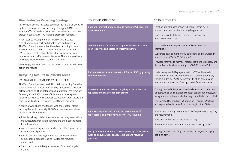### <span id="page-16-0"></span>**Vinyl Industry Recycling Strategy**

Following its second ReSource Summit in 2015, the Vinyl Council updated the Vinyl Industry Recycling Strategy in 2016. The strategy affirms the determination of the industry 'to facilitate growth in sustainable PVC recycling practice in Australia'.

A key focus to foster growth of PVC recycling is to use a collaborative approach and develop local end markets. The Vinyl Council is aware that there is no recycling if there is no end market, and that a major impediment to recycling PVC in various states of Australia is the availability of local reprocessors and effective supply chains. This is a shared issue and responsibility requiring strategy and action.

Accordingly, the Vinyl Council is pleased to report the following action and results:

### **Recycling Results in Priority Areas**

#### PVC ADVERTISING BANNER RECYCLING PROJECT

The Vinyl Council was successful in obtaining funding from the NSW Environment Trust to identify ways to reprocess advertising billboard skins and find potential end markets for the recyclate. Currently around 500 tonnes of this material are disposed to landfill each year, as well as larger quantities of grain covers and truck tarpaulins totalling around 5,000 tonnes per year.

A series of workshops and forums with the Outdoor Media industry, Monash University, UNSW and manufacturers have delivered excellent results:

- Interdisciplinary collaboration between industry associations, manufacturers, industrial designers and chemical engineers to find solutions;
- A new reprocessing method has been identified (proceeding to international patent);
- A low-cost reprocessing method has been identified for some suitable product, leading to 2 tonnes recycled/ month; and
- Six product concept designs developed for use of recycled material.

| <b>STRATEGIC OBJECTIVE</b>                                                                                                       | 2016 OUTCOMES                                                                                                                                                                                                                                                                                                              |
|----------------------------------------------------------------------------------------------------------------------------------|----------------------------------------------------------------------------------------------------------------------------------------------------------------------------------------------------------------------------------------------------------------------------------------------------------------------------|
| Data and Information: to be able to measure PVC recycling<br>more accurately                                                     | Creation of a database listing PVC reprocessors by PVC<br>product type, market size and recycling practice;<br>Discussions with state governments re absence of<br>reprocessors and impact.                                                                                                                                |
| Collaboration: to facilitate and support the work of those<br>keen to recycle and establish systemic change                      | Promoted member reprocessors and other recycling<br>champions;<br>Supported development of PVC collections and granulating/<br>reprocessing in Vic, NSW, SA and WA;<br>Provided referrals to member reprocessors of both supply and<br>demand opportunities equating to >10,000 tonnes PVC.                                |
| End markets: to develop market pull for recoPVC by growing<br>end user demand                                                    | Undertaking two R&D projects with UNSW and Monash<br>University and partners in flooring and coated fabric supply<br>chains, funded by NSW Environment Trust, to develop end<br>markets for reprocessed flooring, coated fabric and cable.                                                                                 |
| Innovation and trials: to form recycling projects that are<br>replicable and scalable for easy growth                            | Through funded R&D projects and collaborations, undertaken<br>lab tests, trials and developed concept designs for prototypes<br>using reprocessed materials (flooring, coated fabric and cable);<br>Consolidated the medical PVC recycling Program in Victoria<br>and expanded collections & reprocessing to other States. |
| Reprocessing infrastructure: to increase number of<br>reprocessors and improve viability of PVC recycling                        | Education of state governments on PVC reprocessing capacity<br>and requirements;<br>Advised members of availability of grants;<br>Government investment in Victorian reprocessing of PVC.                                                                                                                                  |
| Design and composition: to encourage Design for Recycling<br>(DfR) and advocate for quality recyclate and recycling<br>practices | Through Stewardship Program commitments, encouraging<br>packaging DfR.                                                                                                                                                                                                                                                     |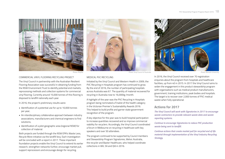<span id="page-17-0"></span>





Photo: Polyflor Photo: Monash University Photo: Vinyl Council of Australia Photo: Polyflor Photo: Monash University

#### COMMERCIAL VINYL FLOORING RECYCLING PROJECT

The Vinyl Council in partnership with the Australian Resilient Flooring Association was successful in obtaining funding from the NSW Environment Trust to identify potential end markets, reprocessing methods and collection systems for commercial vinyl flooring. Currently around 15,000 tonnes of this flooring is disposed to landfill nationally each year.

In 2016, the project's preliminary results were:

- Identification of a potential use for up to 10,000 tonnes per year;
- An interdisciplinary collaborative approach between industry associations, manufacturers and chemical engineers to find solutions;
- Identification of a pilot geographic area (regional NSW) for collection of material.

Both projects are funded through the NSW EPA's Waste Less, Recycle More initiative via the landfill levy. Each investigation will be concluded with a report in 2017. These important foundation projects enable the Vinyl Council to extend its earlier research, strengthen networks further, encourage market pull, support reprocessors and encourage design for recycling.

MEDICAL PVC RECYCLING

Initiated by the Vinyl Council and Western Health in 2009, the PVC Recycling in Hospitals program has continued to grow. By the end of 2016, the number of participating hospitals across Australia was 67. The quantity of material recovered for recycling in Australia rose to 16,000kg /month.

A highlight of the year was the PVC Recycling in Hospitals program being nominated a Finalist of the health category in the Victorian Premier's Sustainability Awards 2016. This helped to build profile and garner state government recognition of the program.

A key objective for the year was to build hospital participation to increase quantities recovered and so improve commercial viability for recyclers. Accordingly, the Vinyl Council coordinated a forum in Melbourne on recycling in healthcare with key speakers and over 50 attendees.

The program continued to be supported by Council members and Stewardship Program Signatories, Welvic Australia, the recycler and Baxter Healthcare, who helped coordinate collections in WA, SA and Qld in 2016.



In 2016, the Vinyl Council received over 70 registration enquiries about the program from hospitals and healthcare facilities, up from 40 in 2015. In 2017 the Vinyl Council aims to widen the engagement in this product stewardship program with organisations such as medical product manufacturers, government, training institutions, peak bodies and hospitals. The target is to recover over 2,000 tonnes of PVC medical waste when fully operational.

#### **Actions for 2017**

*The Vinyl Council will work with Signatories in 2017 to encourage waste contractors to provide relevant waste data and waste reporting systems.* 

*Continue to encourage Signatories to reduce PVC production waste being sent to landfill.* 

*Continue actions that create market pull for recycled end of life material through implementation of the Vinyl Industry Recycling Strategy.*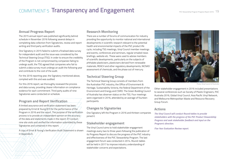# <span id="page-18-0"></span>COMMITMENT 5 **Transparency and Engagement**

#### **Annual Progress Report**

The 2015 annual report was published significantly behind schedule in November 2016 following several delays in completing data collection from Signatories, review and report writing and third party verification audits.

One Signatory in 2015 failed to submit a finalised data survey for independent audit and the issue was considered by the Technical Steering Group (TSG). In order to ensure the credibility of the Program is not compromised by companies failing to undergo audit, the TSG agreed that companies who fail to submit a data survey must undergo an audit the following year and contribute to the cost of the audit.

For the 2016 reporting year, the Signatory mentioned above, complied with this and was audited.

For this 2016 report, we thoroughly reviewed the process and data survey, providing clearer information on compliance evidence for each commitment. Third party audits of nine Signatories were conducted on schedule.

### **Program and Report Verification**

A limited assurance and verification statement has been prepared by Ernst & Young (EY) for the performance of the Program in 2016 and the report. The purpose of the verification process is to provide an independent opinion on the accuracy of the data and statements made in the report. EY conduct nine site visits and verified the information submitted by these Signatories and contained in this report.

[A copy of Ernst & Young's Verification Audit Statement is shown](#page-19-0)  in Appendix A.

### **Research Monitoring**

There are a number of forums of communication for industry providing the opportunity to monitor national and international developments in scientific research relevant to the potential health and environmental impacts of the PVC product life cycle, including TSG meetings, Vinyl Council member meetings and events, conferences and seminars, regular emailed news briefings, website etc. These were used to advise members of scientific developments, particularly on the subjects of phthalate plasticisers, plasticisers derived from renewable materials, REACH and other regulatory developments, NICNAS' assessment of chemicals, and the phase out of mercury.

### **Technical Steering Group**

The Technical Steering Group consists of members from the Australian PVC industry, the Office of Environment & Heritage, Sustainability Victoria, the federal Department of the Environment and Energy and CSIRO. The Green Building Council of Australia has observer status on the TSG. Four meetings were organised in 2016, attended by an average of fourteen participants.

### **Changes to Signatories**

One Signatory left the Program in 2016 and thirteen companies ioined it.

#### **Stakeholder engagement**

The Vinyl Council aims to hold stakeholder engagement meetings every two to three years following the publication of its Progress Report to discuss the progress of the PVC industry and effectiveness of the PVC Stewardship Program. The last engagement forum was conducted in 2014. Round-tables will be held in 2017 to improve industry understanding of stakeholder concerns and expectations.



Photo: Vinyl Council of Australia

Other stakeholder engagement in 2016 included presentations to several conferences such as Society of Plastic Engineers, PVC Australia 2016, Global Vinyl Council, Asia Pacific Vinyl Network, and Melbourne Metropolitan Waste and Resource Recovery Group Forum.

#### **Actions**

*The Vinyl Council will conduct Round-tables to provide stakeholders with the progress of the PVC Product Stewardship Progress and seek stakeholder feedback and input on the Program's direction.* 

*Five Year Evaluation Review report.*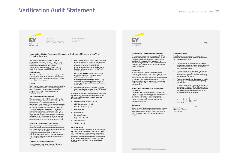# <span id="page-19-0"></span>**Verification Audit Statement**



Ernst & Young 8 Exhibition Street Melbourne VIC 3000 Australia GPO Box 67 Melbourne VIC 3001

Tel: +61 3 9288 8000 Fax: +61 3 8650 7777 ey.com/au

#### Independent Limited Assurance Statement to the Board of Directors of the Vinyl Council of Australia

The Vinyl Council of Australia (the 'VCA') has commissioned Ernst and Young ('EY') to provide limited assurance over the extraction of 52 selected statements and inclusion in the 2016 PVC Stewardship Program Progress Report (the 'PSP Report'), for the year ended 31 December 2016.

#### **Subject Matter**

The Subject Matter for our assurance engagement is limited to the 52 selected statements presenting data and activities which indicate performance of the VCA – as set out inAppendix A.

#### **Criteria**

The VCA has set out the Criteria for reporting against the Subject Matter for each commitment as part of the Australian PVC industry's PVC Stewardship Program in the form of a 'Commitment and Verification Guide'.

#### **The Responsibility of Management**

The management of the VCA is responsible for the preparation and presentation of the Subject Matter in the PSP Report, including the selection of appropriate criteria. No conclusion is expressed as to whether the selected methods used are appropriate for the purpose described in the report. Further, the VCA's management is responsible for establishing and maintaining internal controls relevant to the preparation and presentation of the Subject Matter that is free from material misstatement, whether due to fraud or error; selecting and applying appropriate criteria; maintaining adequate records and making estimates that are reasonable in the circumstances.

#### **Assurance Practitioner's Responsibility**

Our responsibility is to express a limited assurance conclusion on the extraction of data presented in the PSP Report based on our assurance engagement, in accordance with ASAE3000 'Assurance Engagements other than Audits or Reviews of Historical Financial Information' and in accordance with the terms of reference for this engagement as agreed with the VCA.

#### **Summary of Procedures Undertaken**

Our procedures, undertaken between February to June 2017 included, but were not limited to:

- ► Checking the factual accuracy of the information presented in the PSP Report by examining the data and information contributing to the 52 statements (covering all commitments presented in the Criteria) and checking that it has been extracted correctly from the VCA's internal systems
- Reading the PSP Report for any significant anomalies, particularly in relation to VCA's activities and trends in data
- ► Obtaining an understanding of the VCA's key systems and processes used for managing, analysing and reporting Signatory performance information
- ► Interviews with key personnel responsible for collating and writing sections of the PSP Report to understand the reporting process.

In addition, as part of our engagement we conducted site visits and agreed information submitted by the following nine Signatories to supporting sample documentation:

- ► Australian Plastic Profiles Pty. Ltd.
- APN Compounding Pty. Ltd.
- Brenntag Australia Pty. Ltd.
- Chemiplas Pty. Ltd.
- Gerflor Pty. Ltd.
- ► Kenbrock Pty. Ltd.
- ► Rojo Pacific Pty. Ltd.
- Sun Ace Pty. Ltd.
- ► Vinidex Pty. Ltd.

#### **Use of our Report**

Our limited assurance report has been prepared for distribution to the management and directors of the VCA. We disclaim any assumption of responsibility for any reliance on this assurance statement or on the Subject Matter to which it relates, to any person other than management and directors of the VCA, or for any purpose other than that for which it was prepared.



#### Independence, Competence and Experience

**Independence, Competence and Experience**

In conducting this assurance engagement, EY has met the requirements of our Independence Policy. EY confirms that we are not aware of any issues that could impair our objectivity in relation to this assurance engagement. EY has not had any part in collecting and calculating data, or in preparing any part of the Report.

#### **Limitations Information**

The scope of work covered the Subject Matter The scope of work covered the Subject Matter<br>referred to above as included in the Report. EY did referred to above as included in the Report. E r did<br>not provide assurance over the data. Specifically not provide assurance over the data. Specifically<br>excluded from our scope was source data presented excluded from our scope was source data presented<br>to the VCA from Signatories, other than for those to the vox non-orginatories, other than for those<br>Signatories listed above, which were assessed by undertaking site visits and documentation reviews, on assurance statement. a limited basis.

#### **Matters Relating to Electronic Presentation of Information**

mormation<br>Our limited assurance engagement included webbased information that was available via web links as of the date of this statement. We provide no assurance over changes to the content of this webbased information after the date of this limited assurance statement.

#### **Conclusion**

Based on our limited assurance procedures, nothing has come to our attention to indicate that the 52 selected statements have not been extracted and fairly presented in the PSP Report, in all material respects.

**internal quality check procedures for data procedures for data procedures for data procedures for data procedu** 

<del>recommenuations</del><br>Based on our limited assurance engagement a number of recommendations are highlighted below For VCA Executive's benefit:<br>for VCA Executive's benefit:

 $\text{Page 2}$ 

clarifying the reporting requirements and scoring

- ► Recommendation one: Continue progress in clarifying the reporting requirements and scoring system for commitments in the Commitment and Verification Guide. **Example of evidence requirements**
- ► Recommendation two: Continue to undertake internal quality check procedures for data submitted by Signatories to improve accuracy and reliability of reporting.
- ► Recommendation Three: Continue progress in developing new commitments and reporting requirements.
- ► Recommendation four: Continue to strengthen engagement between VCA and Signatories for better understanding of evidence requirements, and awareness of templates and resources and awareness or templates and<br>available to achieve compliance

Ernst 4 loung

Ernst & Young Melbourne, Australia 12th July 2017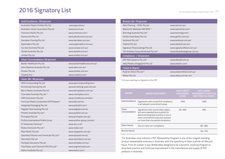# <span id="page-20-0"></span>**2016 Signatory List**

| <b>Gold Excellence: 100 percent</b>        |                              |
|--------------------------------------------|------------------------------|
| Australian Plastic Profiles Pty Ltd        | www.app.net.au/              |
| Australian Vinyls Corporation Pty Ltd      | www.av.com.au/               |
| Chemson Pacific Pty Ltd                    | www.chemson.com/             |
| Deceuninck Pty Ltd                         | www.decefuninck.com.au/      |
| Karndean Flooring Pty Ltd                  | www.karndean.com.au/         |
| Pipemakers Pty Ltd                         | www.pipemakers.com.au/       |
| Sun Ace Australia Pty Ltd                  | www.sunace.com.au/           |
| Tarkett Australia Pty Ltd                  | www.tarkett.com.au/          |
| Vinidex Pty Ltd                            | www.vinidex.com.au/          |
| <b>Silver Commendation: 99 percent</b>     |                              |
| Baxter Healthcare Pty Ltd                  | www.baxterhealthcare.com.au/ |
| Iplex Pipelines Australia Pty Ltd          | www.iplex.com.au/            |
| Plustec Pty Ltd                            | www.plustec.com.au/          |
| Vinythai PLC *                             | www.vinythai.co.th/          |
| Silver: 80-98 percent                      |                              |
| APN Compounding Pty Ltd                    | www.apncompounding.com/      |
| Armstrong Flooring Pty Ltd                 | www.armstrong-aust.com.au/   |
| Berry Plastics Australia Pty Ltd           | www.berryplastics.com.au/    |
| Chemiplas Australia Pty Ltd *              | www.chemiplas.com.a          |
| CMS Electracom Pty Ltd                     | www.cmselectra.com/anz/      |
| Formosa Plastics Corporation (FPC)Tawain * | www.fph.com.tw               |
| Integrated Packaging Pty Ltd               | www.ipstretch.com/           |
| Pegulan Floorcovering Pty Ltd              | www.pegulan.com.au           |
| Polyflor Australia Pty Ltd *               | www.polyflor.com.au          |
| Primaplas Pty Ltd                          | www.primaplas.com.au/        |
| Profine International Profile Group        | www.profine-group.com/en/    |
| PT Asahimas Chemical *                     | www.asc.co.id/               |
| Redox Chemicals Pty Ltd *                  | www.redox.com                |
| Rojo Pacific Pty Ltd                       | www.rojopacific.com.au/      |
| Speciality Polymer and Chemicals Pty Ltd * | www.spcaust.com.au           |
| Stormtech Pty Ltd                          | www.stormtech.com.au/        |
| Techplas Extrusions Pty Ltd                | www.techplas.com.au/         |
| Thai Plastic and Chemical (TPC) Pty Ltd *  | www.scgchemicals.com         |
| Welvic Australia Pty Ltd                   | www.welvic.com/              |

| Bronze: 50-79 percent                   |                             |
|-----------------------------------------|-----------------------------|
| Altro Flooring - APAC Pty Ltd           | www.asf.com.au/             |
| Baerlocher Malaysia SND BHD *           | www.baerlocher.com/         |
| Brenntag Australia Pty Ltd *            | www.brenntag.com/           |
| Gerflor Australasia Pty Ltd             | www.gerflor.com.au/         |
| Kenbrock Pty Ltd *                      | www.kenbrock.com.au/        |
| Plastral Pty Ltd                        | www.plastral.com.au/        |
| Signature Floorcoverings Pty Ltd        | www.signaturefloors.com.au/ |
| The Andrews Group (Australia) Pty Ltd * | www.theandrewsgroup.com.au  |
| Compliance: < 50 percent                |                             |
| AFS Wall Systems Pty Ltd *              | www.afswall.com.au          |
| Veka Plastics (Singapore) Pte Ltd       | www.yekainc.com/            |
| <b>Failed to Report</b>                 |                             |
|                                         |                             |
| Polymer Direct Pty Ltd *                | www.polymerdirect.com.au/   |
| Rehau Pty Ltd                           | www.rehau.com/au-en/        |

\* First year reporting as a Signatory to the PSP

| <b>AWARD</b>                         | <b>AWARD ASSESSMENT</b>                                                                                                                                                                         | <b>DATA SURVEY</b><br><b>ASSESSMENT</b><br><b>SCORE</b> | <b>DATA SURVEY</b><br><b>ASSESSMENT SCORE PLUS</b><br><b>BEST PRACTICE POINTS</b> |
|--------------------------------------|-------------------------------------------------------------------------------------------------------------------------------------------------------------------------------------------------|---------------------------------------------------------|-----------------------------------------------------------------------------------|
| <b>Gold Excellence</b>               | Signatories who scored full compliance<br>in all relevant commitment areas.                                                                                                                     | 100%                                                    | 100%                                                                              |
| <b>Silver</b><br><b>Commendation</b> | Signatories who scored silver status<br>but were awarded bonus points for<br>demonstrating best practice in one or<br>more commitment area and received<br>no more than one partial compliance. | $90 - 99%$                                              | 99%                                                                               |
| <b>Silver Award</b>                  | One or more non-compliance.                                                                                                                                                                     |                                                         | $80 - 98%$                                                                        |
| <b>Bronze Award</b>                  |                                                                                                                                                                                                 |                                                         | $50 - 79%$                                                                        |

The Australian vinyl industry'[s PVC Stewardship Program i](#page-3-0)s one of the longest standing product stewardship schemes in Australia, with the specificity to have a whole-of-lifecycle focus. From its outset, it was deliberately designed to be a dynamic, evolving Program to drive best practice and continual improvement in the manufacture and supply of PVC products in Australia.